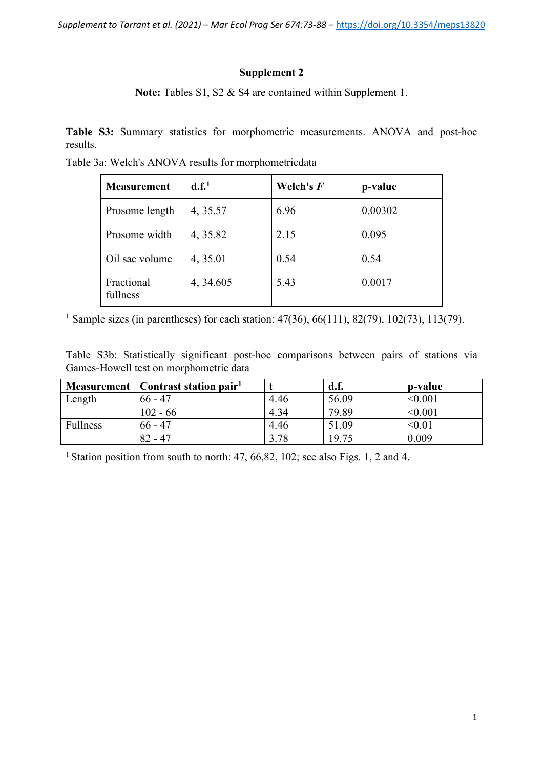## **Supplement 2**

Note: Tables S1, S2 & S4 are contained within Supplement 1.

**Table S3:** Summary statistics for morphometric measurements. ANOVA and post-hoc results.

Table 3a: Welch's ANOVA results for morphometricdata

| <b>Measurement</b>     | d.f. <sup>1</sup> | Welch's $F$ | p-value |
|------------------------|-------------------|-------------|---------|
| Prosome length         | 4, 35.57          | 6.96        | 0.00302 |
| Prosome width          | 4, 35.82          | 2.15        | 0.095   |
| Oil sac volume         | 4, 35.01          | 0.54        | 0.54    |
| Fractional<br>fullness | 4, 34.605         | 5.43        | 0.0017  |

<sup>1</sup> Sample sizes (in parentheses) for each station: 47(36), 66(111), 82(79), 102(73), 113(79).

Table S3b: Statistically significant post-hoc comparisons between pairs of stations via Games-Howell test on morphometric data

|                 | Measurement   Contrast station pair <sup>1</sup> |      | d.f.  | p-value |
|-----------------|--------------------------------------------------|------|-------|---------|
| Length          | $66 - 47$                                        | 4.46 | 56.09 | < 0.001 |
|                 | $102 - 66$                                       | 4.34 | 79.89 | < 0.001 |
| <b>Fullness</b> | $66 - 47$                                        | 446  | 51.09 | < 0.01  |
|                 | $82 - 47$                                        | 3.78 | 19.75 | 0.009   |

<sup>1</sup> Station position from south to north: 47, 66, 82, 102; see also Figs. 1, 2 and 4.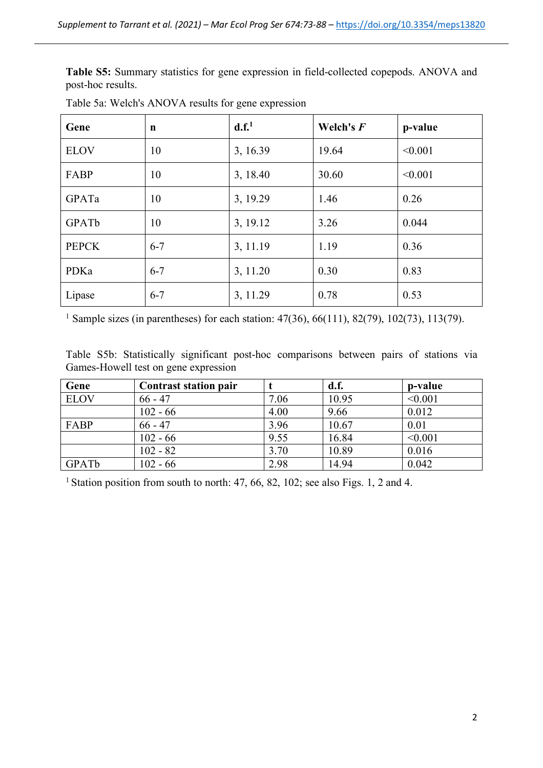**Table S5:** Summary statistics for gene expression in field-collected copepods. ANOVA and post-hoc results.

| Gene         | $\mathbf n$ | d.f. <sup>1</sup> | Welch's $F$ | p-value |
|--------------|-------------|-------------------|-------------|---------|
| <b>ELOV</b>  | 10          | 3, 16.39          | 19.64       | < 0.001 |
| FABP         | 10          | 3, 18.40          | 30.60       | < 0.001 |
| GPATa        | 10          | 3, 19.29          | 1.46        | 0.26    |
| GPATb        | 10          | 3, 19.12          | 3.26        | 0.044   |
| <b>PEPCK</b> | $6 - 7$     | 3, 11.19          | 1.19        | 0.36    |
| PDKa         | $6 - 7$     | 3, 11.20          | 0.30        | 0.83    |
| Lipase       | $6 - 7$     | 3, 11.29          | 0.78        | 0.53    |

Table 5a: Welch's ANOVA results for gene expression

<sup>1</sup> Sample sizes (in parentheses) for each station: 47(36), 66(111), 82(79), 102(73), 113(79).

Table S5b: Statistically significant post-hoc comparisons between pairs of stations via Games-Howell test on gene expression

| Gene              | Contrast station pair |      | d.f.  | p-value |
|-------------------|-----------------------|------|-------|---------|
| <b>ELOV</b>       | $66 - 47$             | 7.06 | 10.95 | < 0.001 |
|                   | $102 - 66$            | 4.00 | 9.66  | 0.012   |
| FABP              | $66 - 47$             | 3.96 | 10.67 | 0.01    |
|                   | $102 - 66$            | 9.55 | 16.84 | < 0.001 |
|                   | $102 - 82$            | 3.70 | 10.89 | 0.016   |
| GPAT <sub>b</sub> | $102 - 66$            | 2.98 | 14.94 | 0.042   |

<sup>1</sup> Station position from south to north: 47, 66, 82, 102; see also Figs. 1, 2 and 4.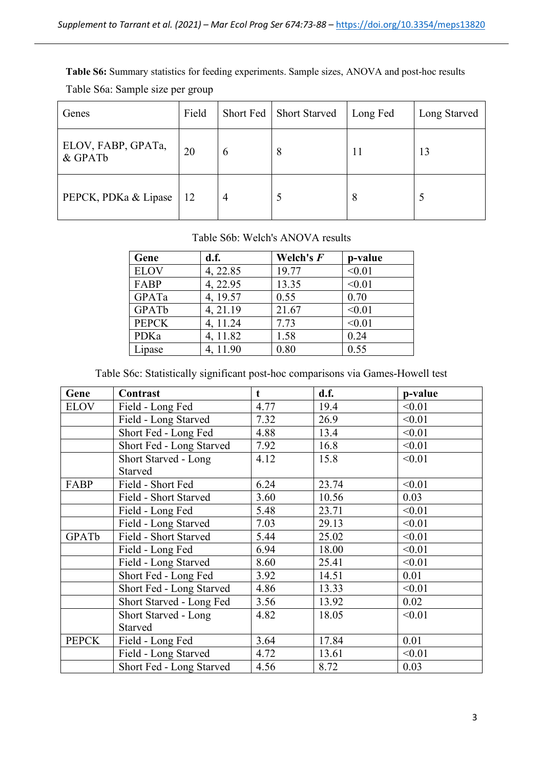**Table S6:** Summary statistics for feeding experiments. Sample sizes, ANOVA and post-hoc results Table S6a: Sample size per group

| Genes                         | Field |                | Short Fed   Short Starved | Long Fed | Long Starved |
|-------------------------------|-------|----------------|---------------------------|----------|--------------|
| ELOV, FABP, GPATa,<br>& GPATb | 20    | 6              | 8                         | 11       | 13           |
| PEPCK, PDKa & Lipase          | 12    | $\overline{4}$ |                           | 8        | C            |

## Table S6b: Welch's ANOVA results

| Gene         | d.f.     | Welch's F | p-value |
|--------------|----------|-----------|---------|
| <b>ELOV</b>  | 4, 22.85 | 19.77     | < 0.01  |
| FABP         | 4, 22.95 | 13.35     | < 0.01  |
| GPATa        | 4, 19.57 | 0.55      | 0.70    |
| GPATb        | 4, 21.19 | 21.67     | < 0.01  |
| <b>PEPCK</b> | 4, 11.24 | 7.73      | < 0.01  |
| PDKa         | 4, 11.82 | 1.58      | 0.24    |
| Lipase       | 4, 11.90 | 0.80      | 0.55    |

## Table S6c: Statistically significant post-hoc comparisons via Games-Howell test

| Gene         | Contrast                    | t    | d.f.  | p-value |
|--------------|-----------------------------|------|-------|---------|
| <b>ELOV</b>  | Field - Long Fed            | 4.77 | 19.4  | < 0.01  |
|              | Field - Long Starved        | 7.32 | 26.9  | < 0.01  |
|              | Short Fed - Long Fed        | 4.88 | 13.4  | < 0.01  |
|              | Short Fed - Long Starved    | 7.92 | 16.8  | < 0.01  |
|              | <b>Short Starved - Long</b> | 4.12 | 15.8  | < 0.01  |
|              | Starved                     |      |       |         |
| FABP         | Field - Short Fed           | 6.24 | 23.74 | < 0.01  |
|              | Field - Short Starved       | 3.60 | 10.56 | 0.03    |
|              | Field - Long Fed            | 5.48 | 23.71 | < 0.01  |
|              | Field - Long Starved        | 7.03 | 29.13 | < 0.01  |
| GPATb        | Field - Short Starved       | 5.44 | 25.02 | < 0.01  |
|              | Field - Long Fed            | 6.94 | 18.00 | < 0.01  |
|              | Field - Long Starved        | 8.60 | 25.41 | < 0.01  |
|              | Short Fed - Long Fed        | 3.92 | 14.51 | 0.01    |
|              | Short Fed - Long Starved    | 4.86 | 13.33 | < 0.01  |
|              | Short Starved - Long Fed    | 3.56 | 13.92 | 0.02    |
|              | <b>Short Starved - Long</b> | 4.82 | 18.05 | < 0.01  |
|              | Starved                     |      |       |         |
| <b>PEPCK</b> | Field - Long Fed            | 3.64 | 17.84 | 0.01    |
|              | Field - Long Starved        | 4.72 | 13.61 | < 0.01  |
|              | Short Fed - Long Starved    | 4.56 | 8.72  | 0.03    |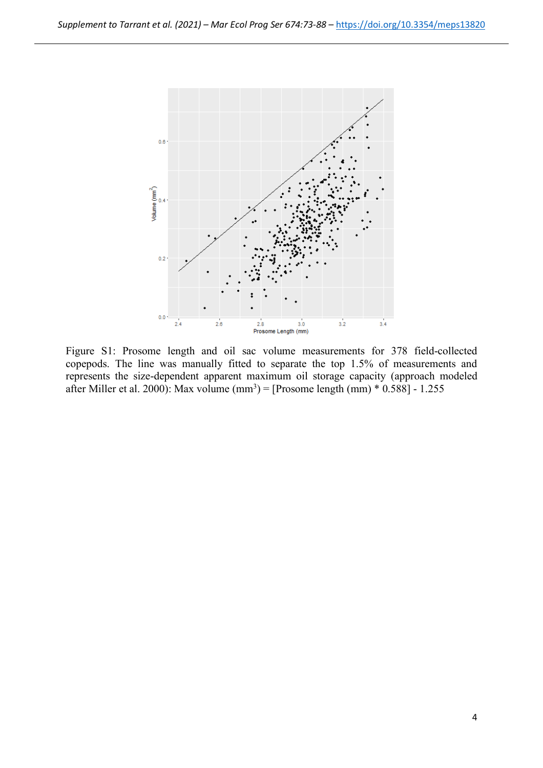

Figure S1: Prosome length and oil sac volume measurements for 378 field-collected copepods. The line was manually fitted to separate the top 1.5% of measurements and represents the size-dependent apparent maximum oil storage capacity (approach modeled after Miller et al. 2000): Max volume  $(mm^3)$  = [Prosome length  $(mm) * 0.588$ ] - 1.255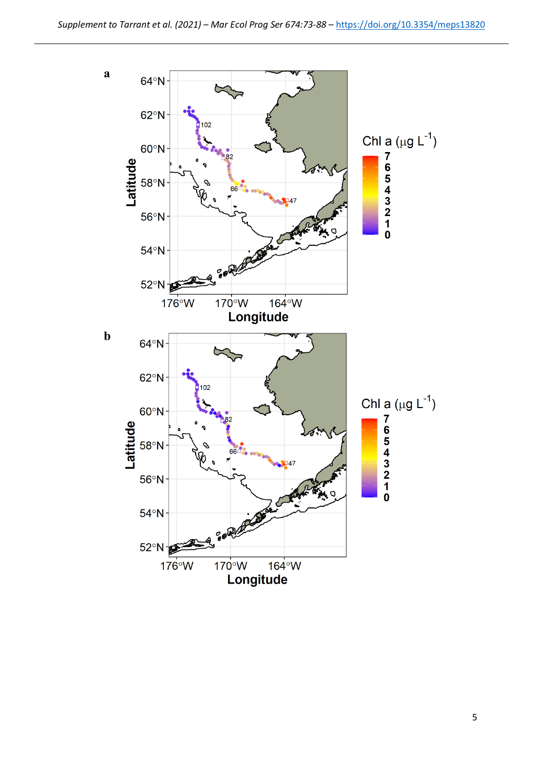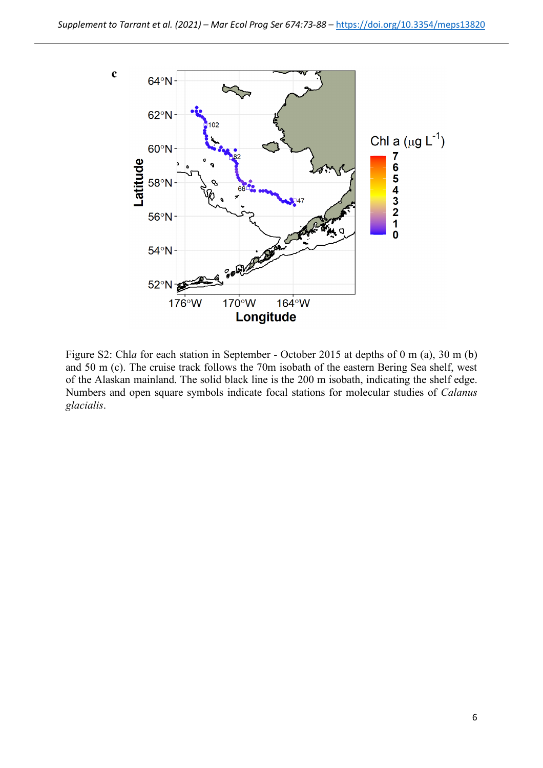

Figure S2: Chl*a* for each station in September - October 2015 at depths of 0 m (a), 30 m (b) and 50 m (c). The cruise track follows the 70m isobath of the eastern Bering Sea shelf, west of the Alaskan mainland. The solid black line is the 200 m isobath, indicating the shelf edge. Numbers and open square symbols indicate focal stations for molecular studies of *Calanus glacialis*.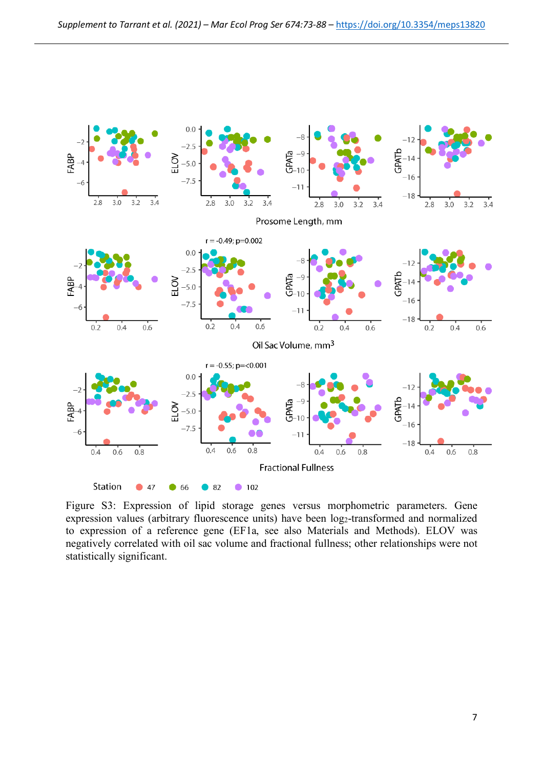

Figure S3: Expression of lipid storage genes versus morphometric parameters. Gene expression values (arbitrary fluorescence units) have been log<sub>2</sub>-transformed and normalized to expression of a reference gene (EF1a, see also Materials and Methods). ELOV was negatively correlated with oil sac volume and fractional fullness; other relationships were not statistically significant.